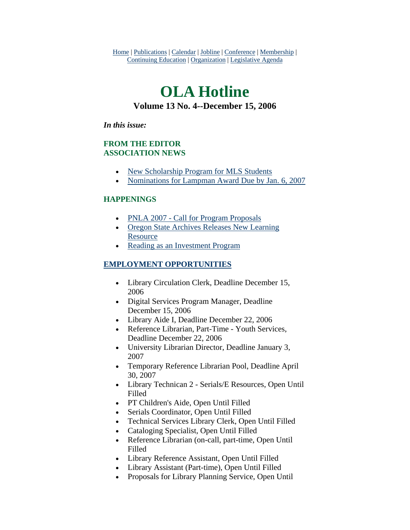Home | Publications | Calendar | Jobline | Conference | Membership | Continuing Education | Organization | Legislative Agenda

# **OLA Hotline Volume 13 No. 4--December 15, 2006**

#### *In this issue:*

### **FROM THE EDITOR ASSOCIATION NEWS**

- [New Scholarship Program for MLS Students](#page-1-0)
- [Nominations for Lampman Award Due by Jan. 6, 2007](#page-2-0)

### **HAPPENINGS**

- [PNLA 2007 Call for Program Proposals](#page-3-0)
- [Oregon State Archives Releases New Learning](#page-3-0)  [Resource](#page-3-0)
- [Reading as an Investment Program](#page-3-0)

### **EMPLOYMENT OPPORTUNITIES**

- Library Circulation Clerk, Deadline December 15, 2006
- Digital Services Program Manager, Deadline December 15, 2006
- Library Aide I, Deadline December 22, 2006
- Reference Librarian, Part-Time Youth Services, Deadline December 22, 2006
- University Librarian Director, Deadline January 3, 2007
- Temporary Reference Librarian Pool, Deadline April 30, 2007
- Library Technican 2 Serials/E Resources, Open Until Filled
- PT Children's Aide, Open Until Filled
- Serials Coordinator, Open Until Filled
- Technical Services Library Clerk, Open Until Filled
- Cataloging Specialist, Open Until Filled
- Reference Librarian (on-call, part-time, Open Until Filled
- Library Reference Assistant, Open Until Filled
- Library Assistant (Part-time), Open Until Filled
- Proposals for Library Planning Service, Open Until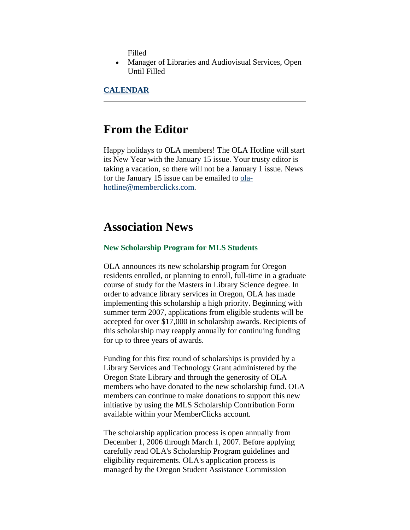Filled

<span id="page-1-0"></span>• Manager of Libraries and Audiovisual Services, Open Until Filled

**CALENDAR**

# **From the Editor**

Happy holidays to OLA members! The OLA Hotline will start its New Year with the January 15 issue. Your trusty editor is taking a vacation, so there will not be a January 1 issue. News for the January 15 issue can be emailed to [ola](mailto:ola-hotline@memberclicks.com)[hotline@memberclicks.com](mailto:ola-hotline@memberclicks.com).

# **Association News**

#### **New Scholarship Program for MLS Students**

OLA announces its new scholarship program for Oregon residents enrolled, or planning to enroll, full-time in a graduate course of study for the Masters in Library Science degree. In order to advance library services in Oregon, OLA has made implementing this scholarship a high priority. Beginning with summer term 2007, applications from eligible students will be accepted for over \$17,000 in scholarship awards. Recipients of this scholarship may reapply annually for continuing funding for up to three years of awards.

Funding for this first round of scholarships is provided by a Library Services and Technology Grant administered by the Oregon State Library and through the generosity of OLA members who have donated to the new scholarship fund. OLA members can continue to make donations to support this new initiative by using the MLS Scholarship Contribution Form available within your MemberClicks account.

The scholarship application process is open annually from December 1, 2006 through March 1, 2007. Before applying carefully read OLA's Scholarship Program guidelines and eligibility requirements. OLA's application process is managed by the Oregon Student Assistance Commission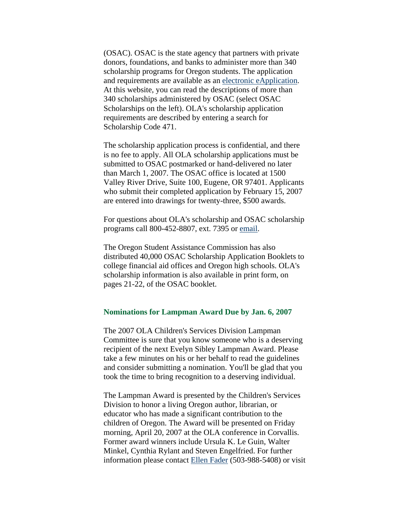<span id="page-2-0"></span>(OSAC). OSAC is the state agency that partners with private donors, foundations, and banks to administer more than 340 scholarship programs for Oregon students. The application and requirements are available as an [electronic eApplication](http://www.getcollegefunds.org/). At this website, you can read the descriptions of more than 340 scholarships administered by OSAC (select OSAC Scholarships on the left). OLA's scholarship application requirements are described by entering a search for Scholarship Code 471.

The scholarship application process is confidential, and there is no fee to apply. All OLA scholarship applications must be submitted to OSAC postmarked or hand-delivered no later than March 1, 2007. The OSAC office is located at 1500 Valley River Drive, Suite 100, Eugene, OR 97401. Applicants who submit their completed application by February 15, 2007 are entered into drawings for twenty-three, \$500 awards.

For questions about OLA's scholarship and OSAC scholarship programs call 800-452-8807, ext. 7395 or [email.](mailto:awardinfo@mercury.osac.state.or.us)

The Oregon Student Assistance Commission has also distributed 40,000 OSAC Scholarship Application Booklets to college financial aid offices and Oregon high schools. OLA's scholarship information is also available in print form, on pages 21-22, of the OSAC booklet.

#### **Nominations for Lampman Award Due by Jan. 6, 2007**

The 2007 OLA Children's Services Division Lampman Committee is sure that you know someone who is a deserving recipient of the next Evelyn Sibley Lampman Award. Please take a few minutes on his or her behalf to read the guidelines and consider submitting a nomination. You'll be glad that you took the time to bring recognition to a deserving individual.

The Lampman Award is presented by the Children's Services Division to honor a living Oregon author, librarian, or educator who has made a significant contribution to the children of Oregon. The Award will be presented on Friday morning, April 20, 2007 at the OLA conference in Corvallis. Former award winners include Ursula K. Le Guin, Walter Minkel, Cynthia Rylant and Steven Engelfried. For further information please contact [Ellen Fader](mailto:ellenf@multcolib.org) (503-988-5408) or visit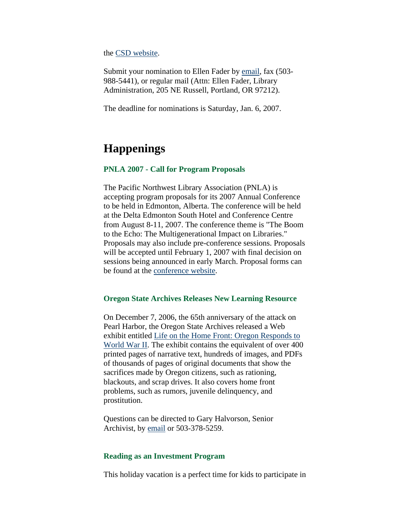<span id="page-3-0"></span>the [CSD website.](http://www.olaweb.org/csd/lampnom.html)

Submit your nomination to Ellen Fader by [email,](mailto:ellenf@multcolib.org) fax (503- 988-5441), or regular mail (Attn: Ellen Fader, Library Administration, 205 NE Russell, Portland, OR 97212).

The deadline for nominations is Saturday, Jan. 6, 2007.

# **Happenings**

#### **PNLA 2007 - Call for Program Proposals**

The Pacific Northwest Library Association (PNLA) is accepting program proposals for its 2007 Annual Conference to be held in Edmonton, Alberta. The conference will be held at the Delta Edmonton South Hotel and Conference Centre from August 8-11, 2007. The conference theme is "The Boom to the Echo: The Multigenerational Impact on Libraries." Proposals may also include pre-conference sessions. Proposals will be accepted until February 1, 2007 with final decision on sessions being announced in early March. Proposal forms can be found at the [conference website.](http://www.pnla.org/events/conference07/)

#### **Oregon State Archives Releases New Learning Resource**

On December 7, 2006, the 65th anniversary of the attack on Pearl Harbor, the Oregon State Archives released a Web exhibit entitled [Life on the Home Front: Oregon Responds to](http://arcweb.sos.state.or.us/exhibits/ww2)  [World War II](http://arcweb.sos.state.or.us/exhibits/ww2). The exhibit contains the equivalent of over 400 printed pages of narrative text, hundreds of images, and PDFs of thousands of pages of original documents that show the sacrifices made by Oregon citizens, such as rationing, blackouts, and scrap drives. It also covers home front problems, such as rumors, juvenile delinquency, and prostitution.

Questions can be directed to Gary Halvorson, Senior Archivist, by [email](mailto:gary.d.halvorson@state.or.us) or 503-378-5259.

#### **Reading as an Investment Program**

This holiday vacation is a perfect time for kids to participate in